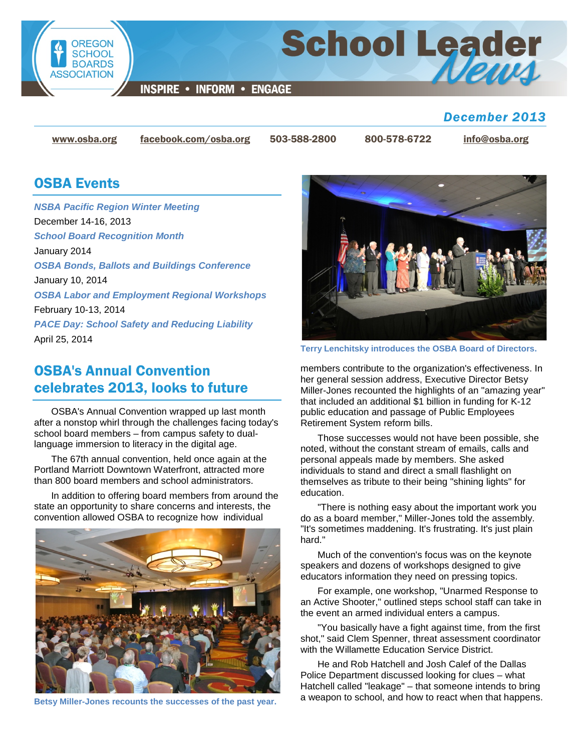

**School Leader** 

**INSPIRE • INFORM • ENGAGE** 

### *December 2013*

[www.osba.org](http://www.osba.org/) [facebook.com/osba.org](http://www.facebook.com/osba.org) 503-588-2800 800-578-6722 [info@osba.org](mailto:info@osba.org)

### OSBA Events

*NSBA Pacific Region Winter Meeting* December 14-16, 2013 *[School Board Recognition Month](http://www.osba.org/Calendar/Events/School_Board_Recognition_Month.aspx)* January 2014 *OSBA Bonds, Ballots and Buildings Conference* January 10, 2014 *[OSBA Labor and Employment Regional Workshops](http://www.osba.org/Calendar/Events/Labor_and_Employment_Regional_Meetings_14.aspx)* February 10-13, 2014 *PACE Day: School Safety and Reducing Liability*

April 25, 2014

## OSBA's Annual Convention celebrates 2013, looks to future

OSBA's Annual Convention wrapped up last month after a nonstop whirl through the challenges facing today's school board members – from campus safety to duallanguage immersion to literacy in the digital age.

The 67th annual convention, held once again at the Portland Marriott Downtown Waterfront, attracted more than 800 board members and school administrators.

In addition to offering board members from around the state an opportunity to share concerns and interests, the convention allowed OSBA to recognize how individual



**Betsy Miller-Jones recounts the successes of the past year.**



**Terry Lenchitsky introduces the OSBA Board of Directors.**

members contribute to the organization's effectiveness. In her general session address, Executive Director Betsy Miller-Jones recounted the highlights of an "amazing year" that included an additional \$1 billion in funding for K-12 public education and passage of Public Employees Retirement System reform bills.

Those successes would not have been possible, she noted, without the constant stream of emails, calls and personal appeals made by members. She asked individuals to stand and direct a small flashlight on themselves as tribute to their being "shining lights" for education.

"There is nothing easy about the important work you do as a board member," Miller-Jones told the assembly. "It's sometimes maddening. It's frustrating. It's just plain hard."

Much of the convention's focus was on the keynote speakers and dozens of workshops designed to give educators information they need on pressing topics.

For example, one workshop, "Unarmed Response to an Active Shooter," outlined steps school staff can take in the event an armed individual enters a campus.

"You basically have a fight against time, from the first shot," said Clem Spenner, threat assessment coordinator with the Willamette Education Service District.

He and Rob Hatchell and Josh Calef of the Dallas Police Department discussed looking for clues – what Hatchell called "leakage" – that someone intends to bring a weapon to school, and how to react when that happens.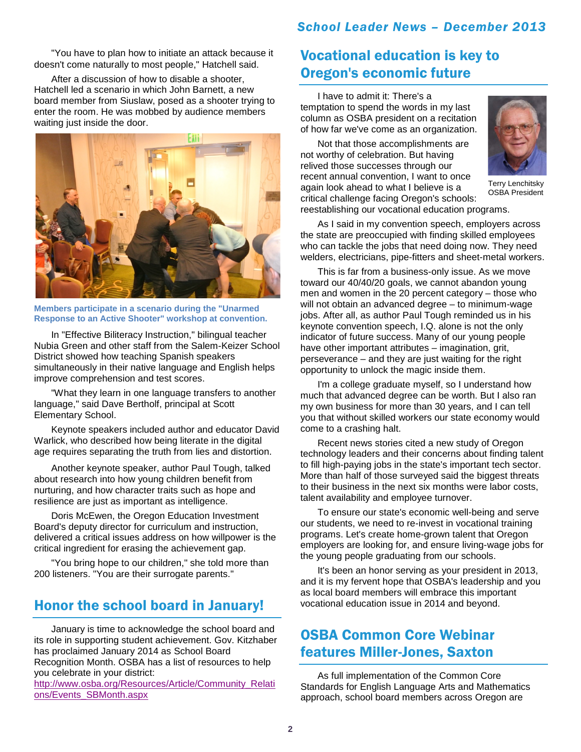"You have to plan how to initiate an attack because it doesn't come naturally to most people," Hatchell said.

After a discussion of how to disable a shooter, Hatchell led a scenario in which John Barnett, a new board member from Siuslaw, posed as a shooter trying to enter the room. He was mobbed by audience members waiting just inside the door.



**Members participate in a scenario during the "Unarmed Response to an Active Shooter" workshop at convention.**

In "Effective Biliteracy Instruction," bilingual teacher Nubia Green and other staff from the Salem-Keizer School District showed how teaching Spanish speakers simultaneously in their native language and English helps improve comprehension and test scores.

"What they learn in one language transfers to another language," said Dave Bertholf, principal at Scott Elementary School.

Keynote speakers included author and educator David Warlick, who described how being literate in the digital age requires separating the truth from lies and distortion.

Another keynote speaker, author Paul Tough, talked about research into how young children benefit from nurturing, and how character traits such as hope and resilience are just as important as intelligence.

Doris McEwen, the Oregon Education Investment Board's deputy director for curriculum and instruction, delivered a critical issues address on how willpower is the critical ingredient for erasing the achievement gap.

"You bring hope to our children," she told more than 200 listeners. "You are their surrogate parents."

### Honor the school board in January!

January is time to acknowledge the school board and its role in supporting student achievement. Gov. Kitzhaber has proclaimed January 2014 as School Board Recognition Month. OSBA has a list of resources to help you celebrate in your district:

[http://www.osba.org/Resources/Article/Community\\_Relati](http://www.osba.org/Resources/Article/Community_Relations/Events_SBMonth.aspx) [ons/Events\\_SBMonth.aspx](http://www.osba.org/Resources/Article/Community_Relations/Events_SBMonth.aspx) 

## Vocational education is key to Oregon's economic future

I have to admit it: There's a temptation to spend the words in my last column as OSBA president on a recitation of how far we've come as an organization.

Not that those accomplishments are not worthy of celebration. But having relived those successes through our recent annual convention, I want to once again look ahead to what I believe is a critical challenge facing Oregon's schools:



Terry Lenchitsky OSBA President

reestablishing our vocational education programs.

As I said in my convention speech, employers across the state are preoccupied with finding skilled employees who can tackle the jobs that need doing now. They need welders, electricians, pipe-fitters and sheet-metal workers.

This is far from a business-only issue. As we move toward our 40/40/20 goals, we cannot abandon young men and women in the 20 percent category – those who will not obtain an advanced degree – to minimum-wage jobs. After all, as author Paul Tough reminded us in his keynote convention speech, I.Q. alone is not the only indicator of future success. Many of our young people have other important attributes – imagination, grit, perseverance – and they are just waiting for the right opportunity to unlock the magic inside them.

I'm a college graduate myself, so I understand how much that advanced degree can be worth. But I also ran my own business for more than 30 years, and I can tell you that without skilled workers our state economy would come to a crashing halt.

Recent news stories cited a new study of Oregon technology leaders and their concerns about finding talent to fill high-paying jobs in the state's important tech sector. More than half of those surveyed said the biggest threats to their business in the next six months were labor costs, talent availability and employee turnover.

To ensure our state's economic well-being and serve our students, we need to re-invest in vocational training programs. Let's create home-grown talent that Oregon employers are looking for, and ensure living-wage jobs for the young people graduating from our schools.

It's been an honor serving as your president in 2013, and it is my fervent hope that OSBA's leadership and you as local board members will embrace this important vocational education issue in 2014 and beyond.

## OSBA Common Core Webinar features Miller-Jones, Saxton

As full implementation of the Common Core Standards for English Language Arts and Mathematics approach, school board members across Oregon are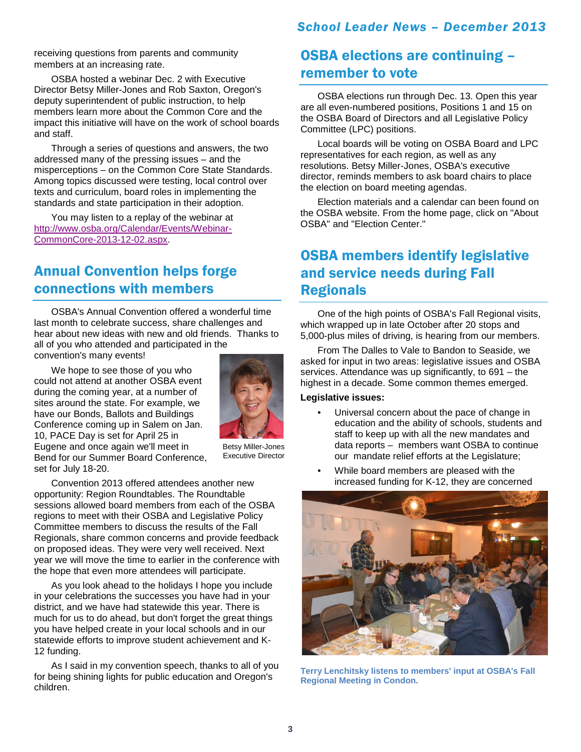receiving questions from parents and community members at an increasing rate.

OSBA hosted a webinar Dec. 2 with Executive Director Betsy Miller-Jones and Rob Saxton, Oregon's deputy superintendent of public instruction, to help members learn more about the Common Core and the impact this initiative will have on the work of school boards and staff.

Through a series of questions and answers, the two addressed many of the pressing issues – and the misperceptions – on the Common Core State Standards. Among topics discussed were testing, local control over texts and curriculum, board roles in implementing the standards and state participation in their adoption.

You may listen to a replay of the webinar at [http://www.osba.org/Calendar/Events/Webinar-](http://www.osba.org/Calendar/Events/Webinar-CommonCore-2013-12-02.aspx)[CommonCore-2013-12-02.aspx.](http://www.osba.org/Calendar/Events/Webinar-CommonCore-2013-12-02.aspx)

## Annual Convention helps forge connections with members

OSBA's Annual Convention offered a wonderful time last month to celebrate success, share challenges and hear about new ideas with new and old friends. Thanks to all of you who attended and participated in the

convention's many events!

We hope to see those of you who could not attend at another OSBA event during the coming year, at a number of sites around the state. For example, we have our Bonds, Ballots and Buildings Conference coming up in Salem on Jan. 10, PACE Day is set for April 25 in Eugene and once again we'll meet in Bend for our Summer Board Conference, set for July 18-20.



Betsy Miller-Jones Executive Director

Convention 2013 offered attendees another new opportunity: Region Roundtables. The Roundtable sessions allowed board members from each of the OSBA regions to meet with their OSBA and Legislative Policy Committee members to discuss the results of the Fall Regionals, share common concerns and provide feedback on proposed ideas. They were very well received. Next year we will move the time to earlier in the conference with the hope that even more attendees will participate.

As you look ahead to the holidays I hope you include in your celebrations the successes you have had in your district, and we have had statewide this year. There is much for us to do ahead, but don't forget the great things you have helped create in your local schools and in our statewide efforts to improve student achievement and K-12 funding.

As I said in my convention speech, thanks to all of you for being shining lights for public education and Oregon's children.

## OSBA elections are continuing – remember to vote

OSBA elections run through Dec. 13. Open this year are all even-numbered positions, Positions 1 and 15 on the OSBA Board of Directors and all Legislative Policy Committee (LPC) positions.

Local boards will be voting on OSBA Board and LPC representatives for each region, as well as any resolutions. Betsy Miller-Jones, OSBA's executive director, reminds members to ask board chairs to place the election on board meeting agendas.

Election materials and a calendar can been found on the OSBA website. From the home page, click on "About OSBA" and "Election Center."

# OSBA members identify legislative and service needs during Fall **Regionals**

One of the high points of OSBA's Fall Regional visits, which wrapped up in late October after 20 stops and 5,000-plus miles of driving, is hearing from our members.

From The Dalles to Vale to Bandon to Seaside, we asked for input in two areas: legislative issues and OSBA services. Attendance was up significantly, to 691 – the highest in a decade. Some common themes emerged.

#### **Legislative issues:**

- Universal concern about the pace of change in education and the ability of schools, students and staff to keep up with all the new mandates and data reports – members want OSBA to continue our mandate relief efforts at the Legislature;
- While board members are pleased with the increased funding for K-12, they are concerned



**Terry Lenchitsky listens to members' input at OSBA's Fall Regional Meeting in Condon.**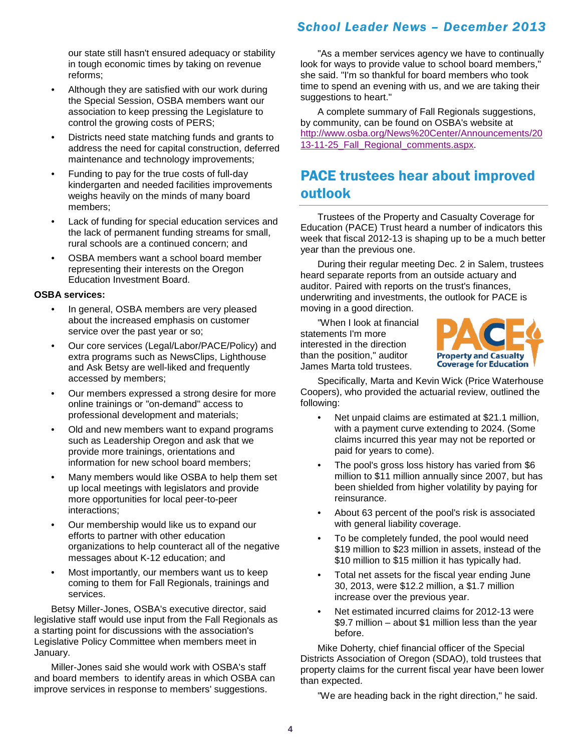our state still hasn't ensured adequacy or stability in tough economic times by taking on revenue reforms;

- Although they are satisfied with our work during the Special Session, OSBA members want our association to keep pressing the Legislature to control the growing costs of PERS;
- Districts need state matching funds and grants to address the need for capital construction, deferred maintenance and technology improvements;
- Funding to pay for the true costs of full-day kindergarten and needed facilities improvements weighs heavily on the minds of many board members;
- Lack of funding for special education services and the lack of permanent funding streams for small, rural schools are a continued concern; and
- OSBA members want a school board member representing their interests on the Oregon Education Investment Board.

#### **OSBA services:**

- In general, OSBA members are very pleased about the increased emphasis on customer service over the past year or so;
- Our core services (Legal/Labor/PACE/Policy) and extra programs such as NewsClips, Lighthouse and Ask Betsy are well-liked and frequently accessed by members;
- Our members expressed a strong desire for more online trainings or "on-demand" access to professional development and materials;
- Old and new members want to expand programs such as Leadership Oregon and ask that we provide more trainings, orientations and information for new school board members;
- Many members would like OSBA to help them set up local meetings with legislators and provide more opportunities for local peer-to-peer interactions;
- Our membership would like us to expand our efforts to partner with other education organizations to help counteract all of the negative messages about K-12 education; and
- Most importantly, our members want us to keep coming to them for Fall Regionals, trainings and services.

Betsy Miller-Jones, OSBA's executive director, said legislative staff would use input from the Fall Regionals as a starting point for discussions with the association's Legislative Policy Committee when members meet in January.

Miller-Jones said she would work with OSBA's staff and board members to identify areas in which OSBA can improve services in response to members' suggestions.

"As a member services agency we have to continually look for ways to provide value to school board members,' she said. "I'm so thankful for board members who took time to spend an evening with us, and we are taking their suggestions to heart."

A complete summary of Fall Regionals suggestions, by community, can be found on OSBA's website at [http://www.osba.org/News%20Center/Announcements/20](http://www.osba.org/News%20Center/Announcements/2013-11-25_Fall_Regional_comments.aspx) [13-11-25\\_Fall\\_Regional\\_comments.aspx.](http://www.osba.org/News%20Center/Announcements/2013-11-25_Fall_Regional_comments.aspx)

## PACE trustees hear about improved outlook

Trustees of the Property and Casualty Coverage for Education (PACE) Trust heard a number of indicators this week that fiscal 2012-13 is shaping up to be a much better year than the previous one.

During their regular meeting Dec. 2 in Salem, trustees heard separate reports from an outside actuary and auditor. Paired with reports on the trust's finances, underwriting and investments, the outlook for PACE is moving in a good direction.

 "When I look at financial statements I'm more interested in the direction than the position," auditor James Marta told trustees.



Specifically, Marta and Kevin Wick (Price Waterhouse Coopers), who provided the actuarial review, outlined the following:

- Net unpaid claims are estimated at \$21.1 million, with a payment curve extending to 2024. (Some claims incurred this year may not be reported or paid for years to come).
- The pool's gross loss history has varied from \$6 million to \$11 million annually since 2007, but has been shielded from higher volatility by paying for reinsurance.
- About 63 percent of the pool's risk is associated with general liability coverage.
- To be completely funded, the pool would need \$19 million to \$23 million in assets, instead of the \$10 million to \$15 million it has typically had.
- Total net assets for the fiscal year ending June 30, 2013, were \$12.2 million, a \$1.7 million increase over the previous year.
- Net estimated incurred claims for 2012-13 were \$9.7 million – about \$1 million less than the year before.

Mike Doherty, chief financial officer of the Special Districts Association of Oregon (SDAO), told trustees that property claims for the current fiscal year have been lower than expected.

"We are heading back in the right direction," he said.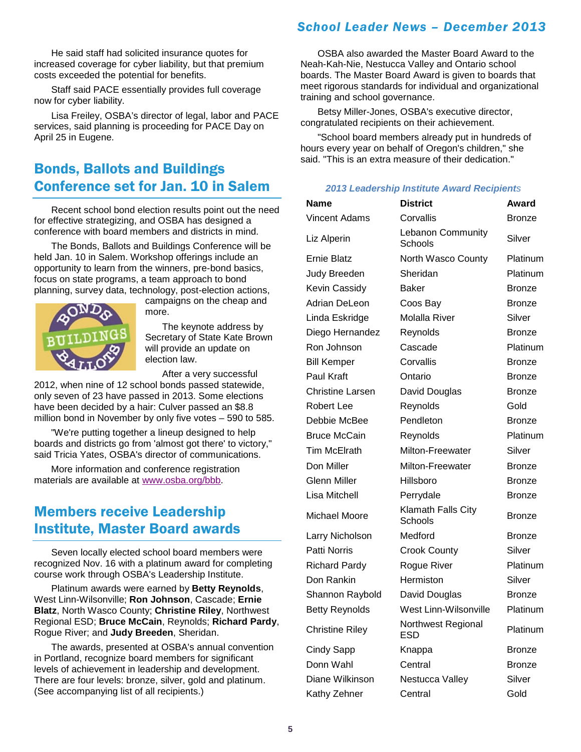He said staff had solicited insurance quotes for increased coverage for cyber liability, but that premium costs exceeded the potential for benefits.

 Staff said PACE essentially provides full coverage now for cyber liability.

Lisa Freiley, OSBA's director of legal, labor and PACE services, said planning is proceeding for PACE Day on April 25 in Eugene.

# Bonds, Ballots and Buildings Conference set for Jan. 10 in Salem

Recent school bond election results point out the need for effective strategizing, and OSBA has designed a conference with board members and districts in mind.

The Bonds, Ballots and Buildings Conference will be held Jan. 10 in Salem. Workshop offerings include an opportunity to learn from the winners, pre-bond basics, focus on state programs, a team approach to bond planning, survey data, technology, post-election actions,



campaigns on the cheap and more.

The keynote address by Secretary of State Kate Brown will provide an update on election law.

After a very successful

2012, when nine of 12 school bonds passed statewide, only seven of 23 have passed in 2013. Some elections have been decided by a hair: Culver passed an \$8.8 million bond in November by only five votes – 590 to 585.

"We're putting together a lineup designed to help boards and districts go from 'almost got there' to victory," said Tricia Yates, OSBA's director of communications.

More information and conference registration materials are available at [www.osba.org/bbb.](http://www.osba.org/Calendar/Events/Bonds_Ballots_and_Buildings-2014.aspx)

### Members receive Leadership Institute, Master Board awards

Seven locally elected school board members were recognized Nov. 16 with a platinum award for completing course work through OSBA's Leadership Institute.

Platinum awards were earned by **Betty Reynolds**, West Linn-Wilsonville; **Ron Johnson**, Cascade; **Ernie Blatz**, North Wasco County; **Christine Riley**, Northwest Regional ESD; **Bruce McCain**, Reynolds; **Richard Pardy**, Rogue River; and **Judy Breeden**, Sheridan.

The awards, presented at OSBA's annual convention in Portland, recognize board members for significant levels of achievement in leadership and development. There are four levels: bronze, silver, gold and platinum. (See accompanying list of all recipients.)

OSBA also awarded the Master Board Award to the Neah-Kah-Nie, Nestucca Valley and Ontario school boards. The Master Board Award is given to boards that meet rigorous standards for individual and organizational training and school governance.

Betsy Miller-Jones, OSBA's executive director, congratulated recipients on their achievement.

"School board members already put in hundreds of hours every year on behalf of Oregon's children," she said. "This is an extra measure of their dedication."

#### *2013 Leadership Institute Award Recipients*

| Name                    | <b>District</b>               | Award         |
|-------------------------|-------------------------------|---------------|
| <b>Vincent Adams</b>    | Corvallis                     | <b>Bronze</b> |
| Liz Alperin             | Lebanon Community<br>Schools  | Silver        |
| <b>Ernie Blatz</b>      | North Wasco County            | Platinum      |
| Judy Breeden            | Sheridan                      | Platinum      |
| Kevin Cassidy           | <b>Baker</b>                  | <b>Bronze</b> |
| <b>Adrian DeLeon</b>    | Coos Bay                      | <b>Bronze</b> |
| Linda Eskridge          | <b>Molalla River</b>          | Silver        |
| Diego Hernandez         | Reynolds                      | <b>Bronze</b> |
| Ron Johnson             | Cascade                       | Platinum      |
| <b>Bill Kemper</b>      | Corvallis                     | <b>Bronze</b> |
| Paul Kraft              | Ontario                       | <b>Bronze</b> |
| <b>Christine Larsen</b> | David Douglas                 | <b>Bronze</b> |
| <b>Robert Lee</b>       | Reynolds                      | Gold          |
| Debbie McBee            | Pendleton                     | <b>Bronze</b> |
| <b>Bruce McCain</b>     | Reynolds                      | Platinum      |
| <b>Tim McElrath</b>     | Milton-Freewater              | Silver        |
| Don Miller              | Milton-Freewater              | <b>Bronze</b> |
| <b>Glenn Miller</b>     | Hillsboro                     | <b>Bronze</b> |
| Lisa Mitchell           | Perrydale                     | <b>Bronze</b> |
| Michael Moore           | Klamath Falls City<br>Schools | <b>Bronze</b> |
| Larry Nicholson         | Medford                       | <b>Bronze</b> |
| Patti Norris            | <b>Crook County</b>           | Silver        |
| <b>Richard Pardy</b>    | Rogue River                   | Platinum      |
| Don Rankin              | Hermiston                     | Silver        |
| Shannon Raybold         | David Douglas                 | <b>Bronze</b> |
| <b>Betty Reynolds</b>   | West Linn-Wilsonville         | Platinum      |
| <b>Christine Riley</b>  | Northwest Regional<br>ESD     | Platinum      |
| <b>Cindy Sapp</b>       | Knappa                        | <b>Bronze</b> |
| Donn Wahl               | Central                       | <b>Bronze</b> |
| Diane Wilkinson         | Nestucca Valley               | Silver        |
| Kathy Zehner            | Central                       | Gold          |